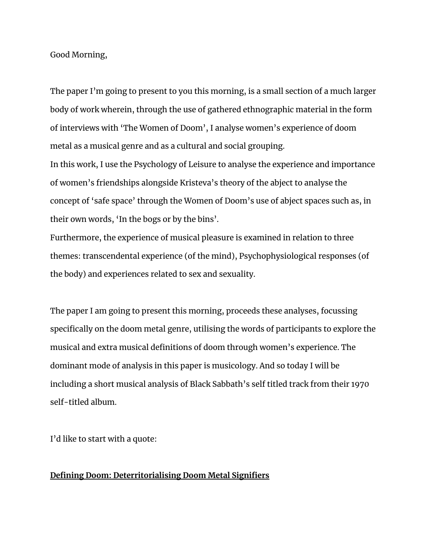Good Morning,

The paper I'm going to present to you this morning, is a small section of a much larger body of work wherein, through the use of gathered ethnographic material in the form of interviews with 'The Women of Doom', I analyse women's experience of doom metal as a musical genre and as a cultural and social grouping.

In this work, I use the Psychology of Leisure to analyse the experience and importance of women's friendships alongside Kristeva's theory of the abject to analyse the concept of 'safe space' through the Women of Doom's use of abject spaces such as, in their own words, 'In the bogs or by the bins'.

Furthermore, the experience of musical pleasure is examined in relation to three themes: transcendental experience (of the mind), Psychophysiological responses (of the body) and experiences related to sex and sexuality.

The paper I am going to present this morning, proceeds these analyses, focussing specifically on the doom metal genre, utilising the words of participants to explore the musical and extra musical definitions of doom through women's experience. The dominant mode of analysis in this paper is musicology. And so today I will be including a short musical analysis of Black Sabbath's self titled track from their 1970 self-titled album.

I'd like to start with a quote:

## **Defining Doom: Deterritorialising Doom Metal Signifiers**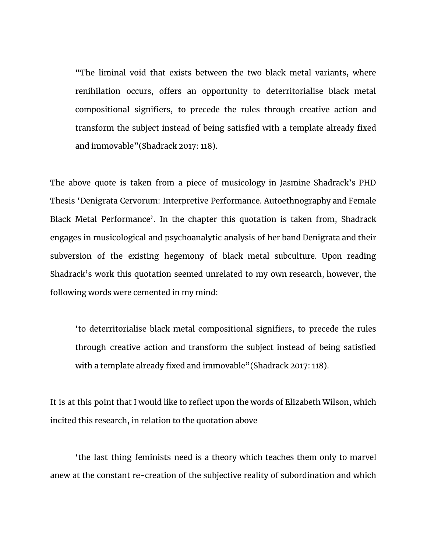"The liminal void that exists between the two black metal variants, where renihilation occurs, offers an opportunity to deterritorialise black metal compositional signifiers, to precede the rules through creative action and transform the subject instead of being satisfied with a template already fixed and immovable"(Shadrack 2017: 118).

The above quote is taken from a piece of musicology in Jasmine Shadrack's PHD Thesis 'Denigrata Cervorum: Interpretive Performance. Autoethnography and Female Black Metal Performance'. In the chapter this quotation is taken from, Shadrack engages in musicological and psychoanalytic analysis of her band Denigrata and their subversion of the existing hegemony of black metal subculture. Upon reading Shadrack's work this quotation seemed unrelated to my own research, however, the following words were cemented in my mind:

'to deterritorialise black metal compositional signifiers, to precede the rules through creative action and transform the subject instead of being satisfied with a template already fixed and immovable"(Shadrack 2017: 118).

It is at this point that I would like to reflect upon the words of Elizabeth Wilson, which incited this research, in relation to the quotation above

'the last thing feminists need is a theory which teaches them only to marvel anew at the constant re-creation of the subjective reality of subordination and which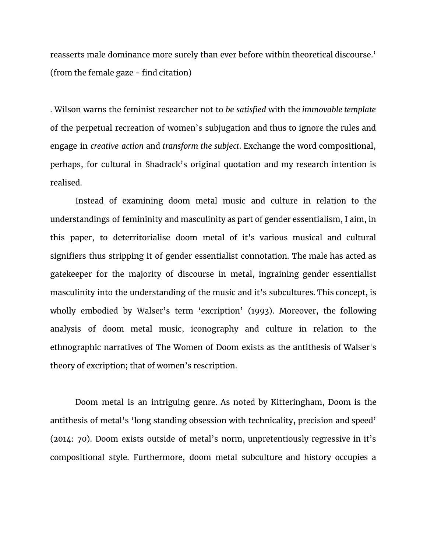reasserts male dominance more surely than ever before within theoretical discourse.' (from the female gaze - find citation)

. Wilson warns the feminist researcher not to *be satisfied* with the *immovable template* of the perpetual recreation of women's subjugation and thus to ignore the rules and engage in *creative action* and *transform the subject*. Exchange the word compositional, perhaps, for cultural in Shadrack's original quotation and my research intention is realised.

Instead of examining doom metal music and culture in relation to the understandings of femininity and masculinity as part of gender essentialism, I aim, in this paper, to deterritorialise doom metal of it's various musical and cultural signifiers thus stripping it of gender essentialist connotation. The male has acted as gatekeeper for the majority of discourse in metal, ingraining gender essentialist masculinity into the understanding of the music and it's subcultures. This concept, is wholly embodied by Walser's term 'excription' (1993). Moreover, the following analysis of doom metal music, iconography and culture in relation to the ethnographic narratives of The Women of Doom exists as the antithesis of Walser's theory of excription; that of women's rescription.

Doom metal is an intriguing genre. As noted by Kitteringham, Doom is the antithesis of metal's 'long standing obsession with technicality, precision and speed' (2014: 70). Doom exists outside of metal's norm, unpretentiously regressive in it's compositional style. Furthermore, doom metal subculture and history occupies a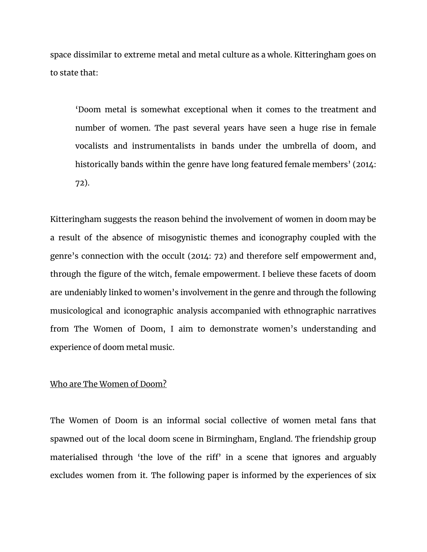space dissimilar to extreme metal and metal culture as a whole. Kitteringham goes on to state that:

'Doom metal is somewhat exceptional when it comes to the treatment and number of women. The past several years have seen a huge rise in female vocalists and instrumentalists in bands under the umbrella of doom, and historically bands within the genre have long featured female members' (2014: 72).

Kitteringham suggests the reason behind the involvement of women in doom may be a result of the absence of misogynistic themes and iconography coupled with the genre's connection with the occult (2014: 72) and therefore self empowerment and, through the figure of the witch, female empowerment. I believe these facets of doom are undeniably linked to women's involvement in the genre and through the following musicological and iconographic analysis accompanied with ethnographic narratives from The Women of Doom, I aim to demonstrate women's understanding and experience of doom metal music.

## Who are The Women of Doom?

The Women of Doom is an informal social collective of women metal fans that spawned out of the local doom scene in Birmingham, England. The friendship group materialised through 'the love of the riff' in a scene that ignores and arguably excludes women from it. The following paper is informed by the experiences of six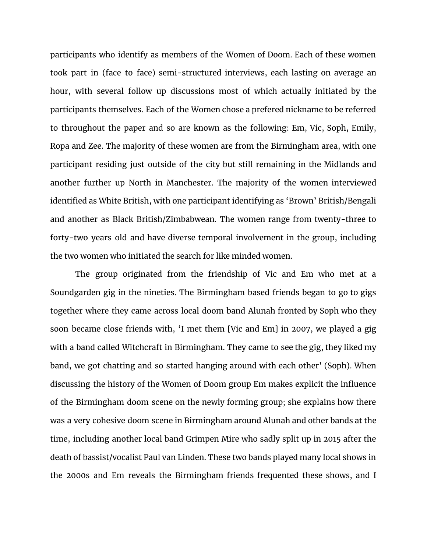participants who identify as members of the Women of Doom. Each of these women took part in (face to face) semi-structured interviews, each lasting on average an hour, with several follow up discussions most of which actually initiated by the participants themselves. Each of the Women chose a prefered nickname to be referred to throughout the paper and so are known as the following: Em, Vic, Soph, Emily, Ropa and Zee. The majority of these women are from the Birmingham area, with one participant residing just outside of the city but still remaining in the Midlands and another further up North in Manchester. The majority of the women interviewed identified as White British, with one participant identifying as 'Brown' British/Bengali and another as Black British/Zimbabwean. The women range from twenty-three to forty-two years old and have diverse temporal involvement in the group, including the two women who initiated the search for like minded women.

The group originated from the friendship of Vic and Em who met at a Soundgarden gig in the nineties. The Birmingham based friends began to go to gigs together where they came across local doom band Alunah fronted by Soph who they soon became close friends with, 'I met them [Vic and Em] in 2007, we played a gig with a band called Witchcraft in Birmingham. They came to see the gig, they liked my band, we got chatting and so started hanging around with each other' (Soph). When discussing the history of the Women of Doom group Em makes explicit the influence of the Birmingham doom scene on the newly forming group; she explains how there was a very cohesive doom scene in Birmingham around Alunah and other bands at the time, including another local band Grimpen Mire who sadly split up in 2015 after the death of bassist/vocalist Paul van Linden. These two bands played many local shows in the 2000s and Em reveals the Birmingham friends frequented these shows, and I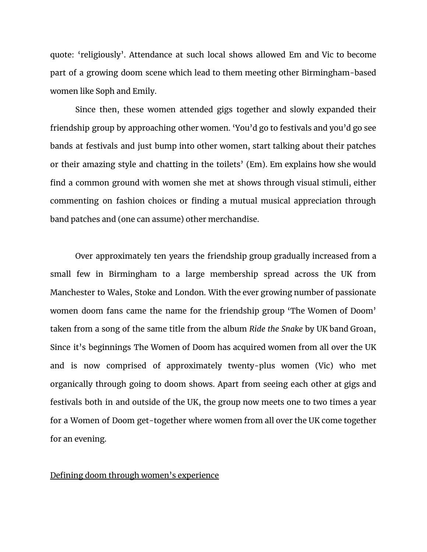quote: 'religiously'. Attendance at such local shows allowed Em and Vic to become part of a growing doom scene which lead to them meeting other Birmingham-based women like Soph and Emily.

Since then, these women attended gigs together and slowly expanded their friendship group by approaching other women. 'You'd go to festivals and you'd go see bands at festivals and just bump into other women, start talking about their patches or their amazing style and chatting in the toilets' (Em). Em explains how she would find a common ground with women she met at shows through visual stimuli, either commenting on fashion choices or finding a mutual musical appreciation through band patches and (one can assume) other merchandise.

Over approximately ten years the friendship group gradually increased from a small few in Birmingham to a large membership spread across the UK from Manchester to Wales, Stoke and London. With the ever growing number of passionate women doom fans came the name for the friendship group 'The Women of Doom' taken from a song of the same title from the album *Ride the Snake* by UK band Groan, Since it's beginnings The Women of Doom has acquired women from all over the UK and is now comprised of approximately twenty-plus women (Vic) who met organically through going to doom shows. Apart from seeing each other at gigs and festivals both in and outside of the UK, the group now meets one to two times a year for a Women of Doom get-together where women from all over the UK come together for an evening.

## Defining doom through women's experience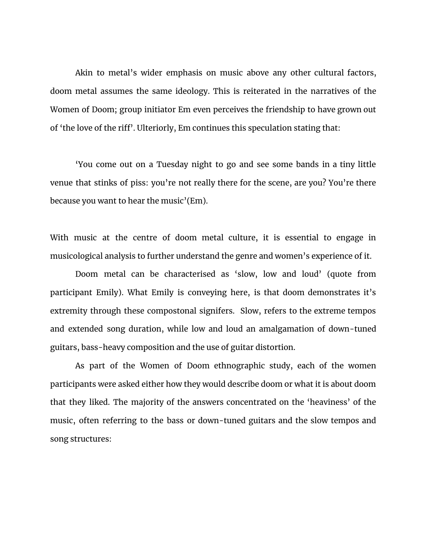Akin to metal's wider emphasis on music above any other cultural factors, doom metal assumes the same ideology. This is reiterated in the narratives of the Women of Doom; group initiator Em even perceives the friendship to have grown out of 'the love of the riff'. Ulteriorly, Em continues this speculation stating that:

'You come out on a Tuesday night to go and see some bands in a tiny little venue that stinks of piss: you're not really there for the scene, are you? You're there because you want to hear the music'(Em).

With music at the centre of doom metal culture, it is essential to engage in musicological analysis to further understand the genre and women's experience of it.

Doom metal can be characterised as 'slow, low and loud' (quote from participant Emily). What Emily is conveying here, is that doom demonstrates it's extremity through these compostonal signifers. Slow, refers to the extreme tempos and extended song duration, while low and loud an amalgamation of down-tuned guitars, bass-heavy composition and the use of guitar distortion.

As part of the Women of Doom ethnographic study, each of the women participants were asked either how they would describe doom or what it is about doom that they liked. The majority of the answers concentrated on the 'heaviness' of the music, often referring to the bass or down-tuned guitars and the slow tempos and song structures: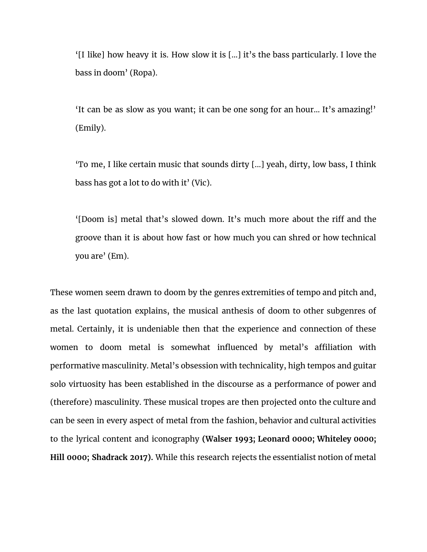'[I like] how heavy it is. How slow it is [...] it's the bass particularly. I love the bass in doom' (Ropa).

'It can be as slow as you want; it can be one song for an hour... It's amazing!' (Emily).

'To me, I like certain music that sounds dirty [...] yeah, dirty, low bass, I think bass has got a lot to do with it' (Vic).

'[Doom is] metal that's slowed down. It's much more about the riff and the groove than it is about how fast or how much you can shred or how technical you are' (Em).

These women seem drawn to doom by the genres extremities of tempo and pitch and, as the last quotation explains, the musical anthesis of doom to other subgenres of metal. Certainly, it is undeniable then that the experience and connection of these women to doom metal is somewhat influenced by metal's affiliation with performative masculinity. Metal's obsession with technicality, high tempos and guitar solo virtuosity has been established in the discourse as a performance of power and (therefore) masculinity. These musical tropes are then projected onto the culture and can be seen in every aspect of metal from the fashion, behavior and cultural activities to the lyrical content and iconography **(Walser 1993; Leonard 0000; Whiteley 0000; Hill 0000; Shadrack 2017).** While this research rejects the essentialist notion of metal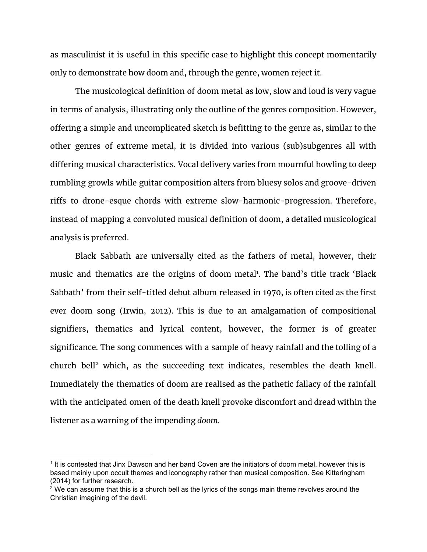as masculinist it is useful in this specific case to highlight this concept momentarily only to demonstrate how doom and, through the genre, women reject it.

The musicological definition of doom metal as low, slow and loud is very vague in terms of analysis, illustrating only the outline of the genres composition. However, offering a simple and uncomplicated sketch is befitting to the genre as, similar to the other genres of extreme metal, it is divided into various (sub)subgenres all with differing musical characteristics. Vocal delivery varies from mournful howling to deep rumbling growls while guitar composition alters from bluesy solos and groove-driven riffs to drone-esque chords with extreme slow-harmonic-progression. Therefore, instead of mapping a convoluted musical definition of doom, a detailed musicological analysis is preferred.

Black Sabbath are universally cited as the fathers of metal, however, their music and thematics are the origins of doom metal<sup>1</sup>. The band's title track 'Black Sabbath' from their self-titled debut album released in 1970, is often cited as the first ever doom song (Irwin, 2012). This is due to an amalgamation of compositional signifiers, thematics and lyrical content, however, the former is of greater significance. The song commences with a sample of heavy rainfall and the tolling of a church bell<sup>2</sup> which, as the succeeding text indicates, resembles the death knell. Immediately the thematics of doom are realised as the pathetic fallacy of the rainfall with the anticipated omen of the death knell provoke discomfort and dread within the listener as a warning of the impending *doom.*

<sup>1</sup> It is contested that Jinx Dawson and her band Coven are the initiators of doom metal, however this is based mainly upon occult themes and iconography rather than musical composition. See Kitteringham (2014) for further research.

 $2$  We can assume that this is a church bell as the lyrics of the songs main theme revolves around the Christian imagining of the devil.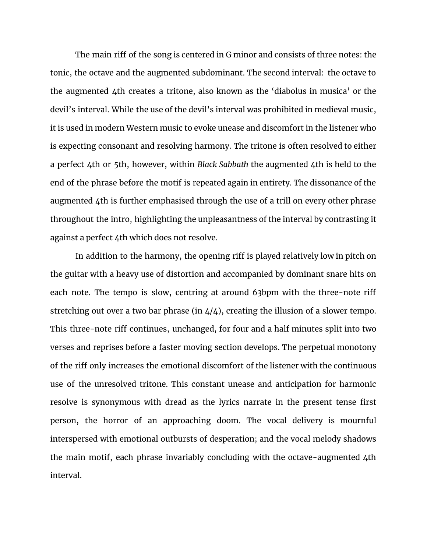The main riff of the song is centered in G minor and consists of three notes: the tonic, the octave and the augmented subdominant. The second interval: the octave to the augmented 4th creates a tritone, also known as the 'diabolus in musica' or the devil's interval. While the use of the devil's interval was prohibited in medieval music, it is used in modern Western music to evoke unease and discomfort in the listener who is expecting consonant and resolving harmony. The tritone is often resolved to either a perfect 4th or 5th, however, within *Black Sabbath* the augmented 4th is held to the end of the phrase before the motif is repeated again in entirety. The dissonance of the augmented 4th is further emphasised through the use of a trill on every other phrase throughout the intro, highlighting the unpleasantness of the interval by contrasting it against a perfect 4th which does not resolve.

In addition to the harmony, the opening riff is played relatively low in pitch on the guitar with a heavy use of distortion and accompanied by dominant snare hits on each note. The tempo is slow, centring at around 63bpm with the three-note riff stretching out over a two bar phrase (in  $4/4$ ), creating the illusion of a slower tempo. This three-note riff continues, unchanged, for four and a half minutes split into two verses and reprises before a faster moving section develops. The perpetual monotony of the riff only increases the emotional discomfort of the listener with the continuous use of the unresolved tritone. This constant unease and anticipation for harmonic resolve is synonymous with dread as the lyrics narrate in the present tense first person, the horror of an approaching doom. The vocal delivery is mournful interspersed with emotional outbursts of desperation; and the vocal melody shadows the main motif, each phrase invariably concluding with the octave-augmented 4th interval.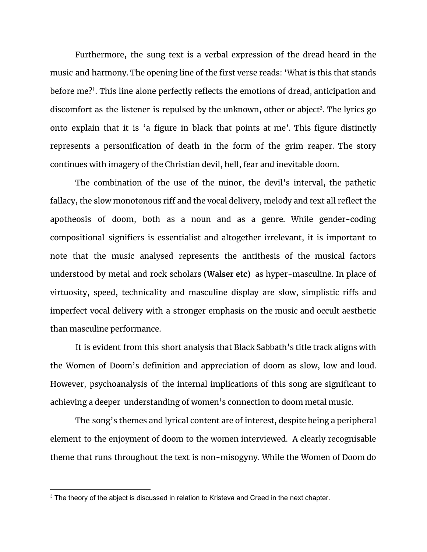Furthermore, the sung text is a verbal expression of the dread heard in the music and harmony. The opening line of the first verse reads: 'What is this that stands before me?'. This line alone perfectly reflects the emotions of dread, anticipation and discomfort as the listener is repulsed by the unknown, other or abject<sup>3</sup>. The lyrics go onto explain that it is 'a figure in black that points at me'. This figure distinctly represents a personification of death in the form of the grim reaper. The story continues with imagery of the Christian devil, hell, fear and inevitable doom.

The combination of the use of the minor, the devil's interval, the pathetic fallacy, the slow monotonous riff and the vocal delivery, melody and text all reflect the apotheosis of doom, both as a noun and as a genre. While gender-coding compositional signifiers is essentialist and altogether irrelevant, it is important to note that the music analysed represents the antithesis of the musical factors understood by metal and rock scholars **(Walser etc)** as hyper-masculine. In place of virtuosity, speed, technicality and masculine display are slow, simplistic riffs and imperfect vocal delivery with a stronger emphasis on the music and occult aesthetic than masculine performance.

It is evident from this short analysis that Black Sabbath's title track aligns with the Women of Doom's definition and appreciation of doom as slow, low and loud. However, psychoanalysis of the internal implications of this song are significant to achieving a deeper understanding of women's connection to doom metal music.

The song's themes and lyrical content are of interest, despite being a peripheral element to the enjoyment of doom to the women interviewed. A clearly recognisable theme that runs throughout the text is non-misogyny. While the Women of Doom do

<sup>&</sup>lt;sup>3</sup> The theory of the abject is discussed in relation to Kristeva and Creed in the next chapter.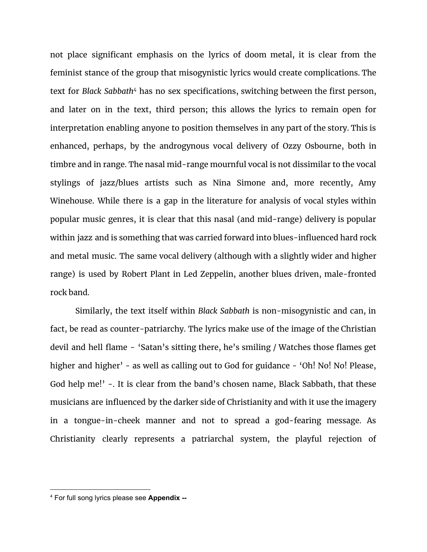not place significant emphasis on the lyrics of doom metal, it is clear from the feminist stance of the group that misogynistic lyrics would create complications. The text for *Black Sabbath*<sup>4</sup> has no sex specifications, switching between the first person, and later on in the text, third person; this allows the lyrics to remain open for interpretation enabling anyone to position themselves in any part of the story. This is enhanced, perhaps, by the androgynous vocal delivery of Ozzy Osbourne, both in timbre and in range. The nasal mid-range mournful vocal is not dissimilar to the vocal stylings of jazz/blues artists such as Nina Simone and, more recently, Amy Winehouse. While there is a gap in the literature for analysis of vocal styles within popular music genres, it is clear that this nasal (and mid-range) delivery is popular within jazz and is something that was carried forward into blues-influenced hard rock and metal music. The same vocal delivery (although with a slightly wider and higher range) is used by Robert Plant in Led Zeppelin, another blues driven, male-fronted rock band.

Similarly, the text itself within *Black Sabbath* is non-misogynistic and can, in fact, be read as counter-patriarchy. The lyrics make use of the image of the Christian devil and hell flame - 'Satan's sitting there, he's smiling / Watches those flames get higher and higher' - as well as calling out to God for guidance - 'Oh! No! No! Please, God help me!' -. It is clear from the band's chosen name, Black Sabbath, that these musicians are influenced by the darker side of Christianity and with it use the imagery in a tongue-in-cheek manner and not to spread a god-fearing message. As Christianity clearly represents a patriarchal system, the playful rejection of

<sup>4</sup> For full song lyrics please see **Appendix --**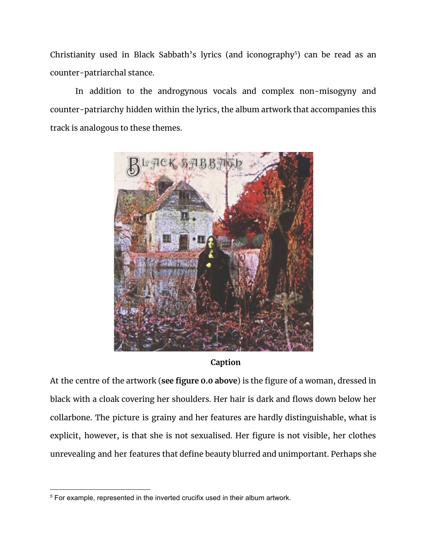Christianity used in Black Sabbath's lyrics (and iconography<sup>5</sup>) can be read as an counter-patriarchal stance.

In addition to the androgynous vocals and complex non-misogyny and counter-patriarchy hidden within the lyrics, the album artwork that accompanies this track is analogous to these themes.



**Caption**

At the centre of the artwork (**see figure 0.0 above**) is the figure of a woman, dressed in black with a cloak covering her shoulders. Her hair is dark and flows down below her collarbone. The picture is grainy and her features are hardly distinguishable, what is explicit, however, is that she is not sexualised. Her figure is not visible, her clothes unrevealing and her features that define beauty blurred and unimportant. Perhaps she

<sup>&</sup>lt;sup>5</sup> For example, represented in the inverted crucifix used in their album artwork.